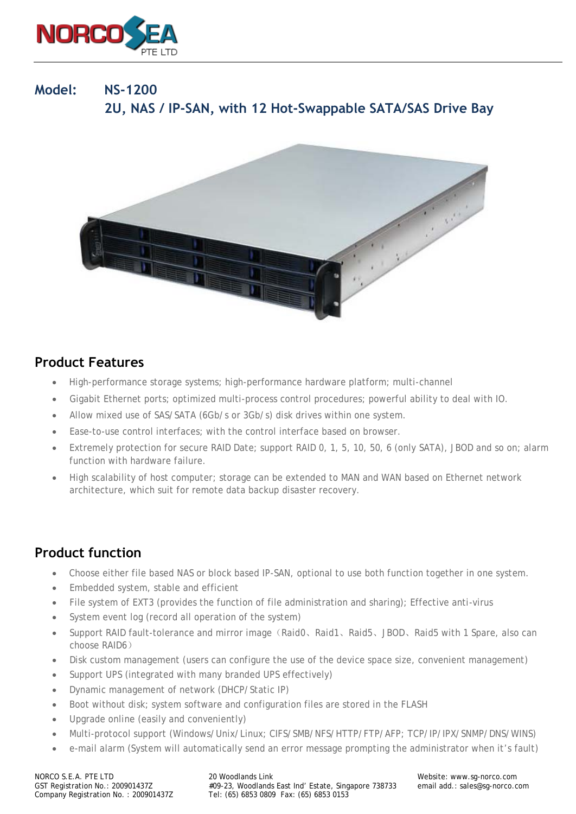

# **Model: NS-1200 2U, NAS / IP-SAN, with 12 Hot-Swappable SATA/SAS Drive Bay**



#### **Product Features**

- High-performance storage systems; high-performance hardware platform; multi-channel
- Gigabit Ethernet ports; optimized multi-process control procedures; powerful ability to deal with IO.
- Allow mixed use of SAS/SATA (6Gb/s or 3Gb/s) disk drives within one system.
- Ease-to-use control interfaces; with the control interface based on browser.
- Extremely protection for secure RAID Date; support RAID 0, 1, 5, 10, 50, 6 (only SATA), JBOD and so on; alarm function with hardware failure.
- High scalability of host computer; storage can be extended to MAN and WAN based on Ethernet network architecture, which suit for remote data backup disaster recovery.

### **Product function**

- Choose either file based NAS or block based IP-SAN, optional to use both function together in one system.
- Embedded system, stable and efficient
- File system of EXT3 (provides the function of file administration and sharing); Effective anti-virus
- System event log (record all operation of the system)
- Support RAID fault-tolerance and mirror image(Raid0、Raid1、Raid5、JBOD、Raid5 with 1 Spare, also can choose RAID6)
- Disk custom management (users can configure the use of the device space size, convenient management)
- Support UPS (integrated with many branded UPS effectively)
- Dynamic management of network (DHCP/Static IP)
- Boot without disk; system software and configuration files are stored in the FLASH
- Upgrade online (easily and conveniently)
- Multi-protocol support (Windows/Unix/Linux; CIFS/SMB/NFS/HTTP/FTP/AFP; TCP/IP/IPX/SNMP/DNS/WINS)
- e-mail alarm (System will automatically send an error message prompting the administrator when it's fault)